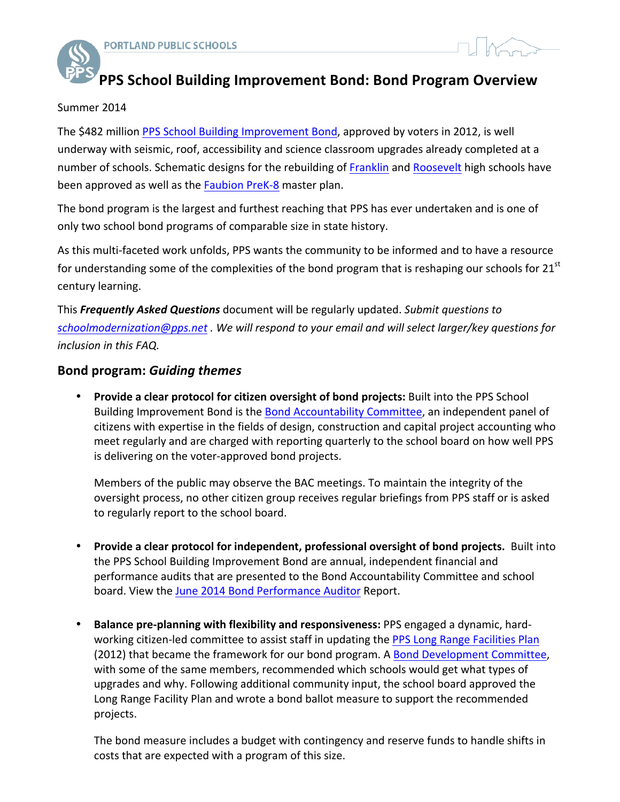

# **PPS School Building Improvement Bond: Bond Program Overview**

#### Summer 2014

The \$482 million PPS School Building Improvement Bond, approved by voters in 2012, is well underway with seismic, roof, accessibility and science classroom upgrades already completed at a number of schools. Schematic designs for the rebuilding of Franklin and Roosevelt high schools have been approved as well as the Faubion PreK-8 master plan.

The bond program is the largest and furthest reaching that PPS has ever undertaken and is one of only two school bond programs of comparable size in state history.

As this multi-faceted work unfolds, PPS wants the community to be informed and to have a resource for understanding some of the complexities of the bond program that is reshaping our schools for  $21<sup>st</sup>$ century learning.

This Frequently Asked Questions document will be regularly updated. Submit questions to schoolmodernization@pps.net . We will respond to your email and will select larger/key questions for *inclusion in this FAQ.* 

## **Bond program:** *Guiding themes*

• Provide a clear protocol for citizen oversight of bond projects: Built into the PPS School Building Improvement Bond is the Bond Accountability Committee, an independent panel of citizens with expertise in the fields of design, construction and capital project accounting who meet regularly and are charged with reporting quarterly to the school board on how well PPS is delivering on the voter-approved bond projects.

Members of the public may observe the BAC meetings. To maintain the integrity of the oversight process, no other citizen group receives regular briefings from PPS staff or is asked to regularly report to the school board.

- Provide a clear protocol for independent, professional oversight of bond projects. Built into the PPS School Building Improvement Bond are annual, independent financial and performance audits that are presented to the Bond Accountability Committee and school board. View the June 2014 Bond Performance Auditor Report.
- **Balance pre-planning with flexibility and responsiveness:** PPS engaged a dynamic, hardworking citizen-led committee to assist staff in updating the PPS Long Range Facilities Plan (2012) that became the framework for our bond program. A Bond Development Committee, with some of the same members, recommended which schools would get what types of upgrades and why. Following additional community input, the school board approved the Long Range Facility Plan and wrote a bond ballot measure to support the recommended projects.

The bond measure includes a budget with contingency and reserve funds to handle shifts in costs that are expected with a program of this size.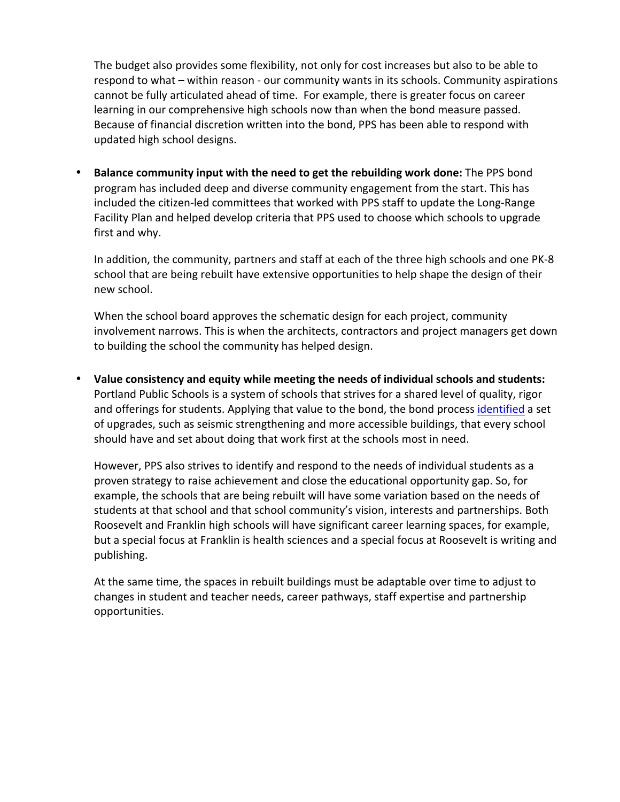The budget also provides some flexibility, not only for cost increases but also to be able to respond to what – within reason - our community wants in its schools. Community aspirations cannot be fully articulated ahead of time. For example, there is greater focus on career learning in our comprehensive high schools now than when the bond measure passed. Because of financial discretion written into the bond, PPS has been able to respond with updated high school designs.

• Balance community input with the need to get the rebuilding work done: The PPS bond program has included deep and diverse community engagement from the start. This has included the citizen-led committees that worked with PPS staff to update the Long-Range Facility Plan and helped develop criteria that PPS used to choose which schools to upgrade first and why.

In addition, the community, partners and staff at each of the three high schools and one PK-8 school that are being rebuilt have extensive opportunities to help shape the design of their new school.

When the school board approves the schematic design for each project, community involvement narrows. This is when the architects, contractors and project managers get down to building the school the community has helped design.

• Value consistency and equity while meeting the needs of individual schools and students: Portland Public Schools is a system of schools that strives for a shared level of quality, rigor and offerings for students. Applying that value to the bond, the bond process identified a set of upgrades, such as seismic strengthening and more accessible buildings, that every school should have and set about doing that work first at the schools most in need.

However, PPS also strives to identify and respond to the needs of individual students as a proven strategy to raise achievement and close the educational opportunity gap. So, for example, the schools that are being rebuilt will have some variation based on the needs of students at that school and that school community's vision, interests and partnerships. Both Roosevelt and Franklin high schools will have significant career learning spaces, for example, but a special focus at Franklin is health sciences and a special focus at Roosevelt is writing and publishing. 

At the same time, the spaces in rebuilt buildings must be adaptable over time to adjust to changes in student and teacher needs, career pathways, staff expertise and partnership opportunities.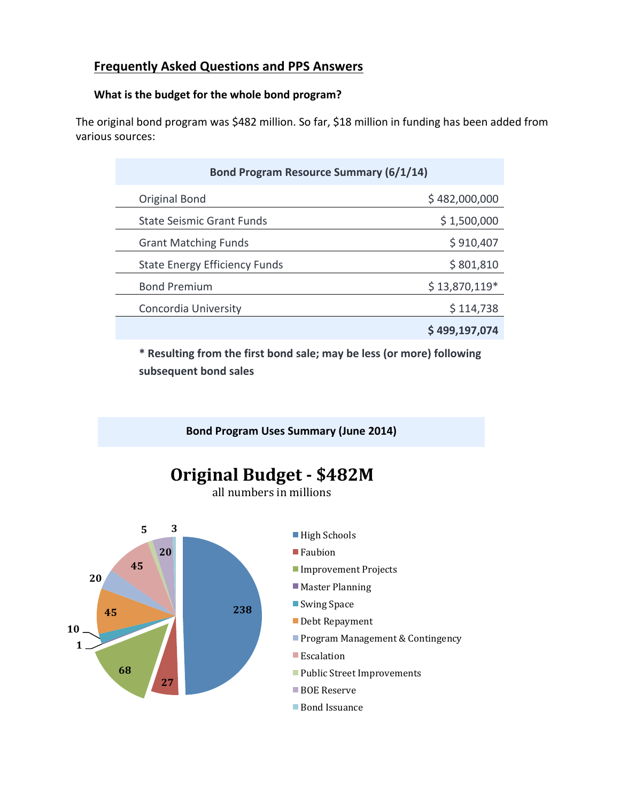# **Frequently Asked Questions and PPS Answers**

# What is the budget for the whole bond program?

The original bond program was \$482 million. So far, \$18 million in funding has been added from various sources:

| Bond Program Resource Summary (6/1/14) |                |
|----------------------------------------|----------------|
| <b>Original Bond</b>                   | \$482,000,000  |
| <b>State Seismic Grant Funds</b>       | \$1,500,000    |
| <b>Grant Matching Funds</b>            | \$910,407      |
| <b>State Energy Efficiency Funds</b>   | \$801,810      |
| <b>Bond Premium</b>                    | $$13,870,119*$ |
| Concordia University                   | \$114,738      |
|                                        | \$499,197,074  |

\* Resulting from the first bond sale; may be less (or more) following **subsequent bond sales**

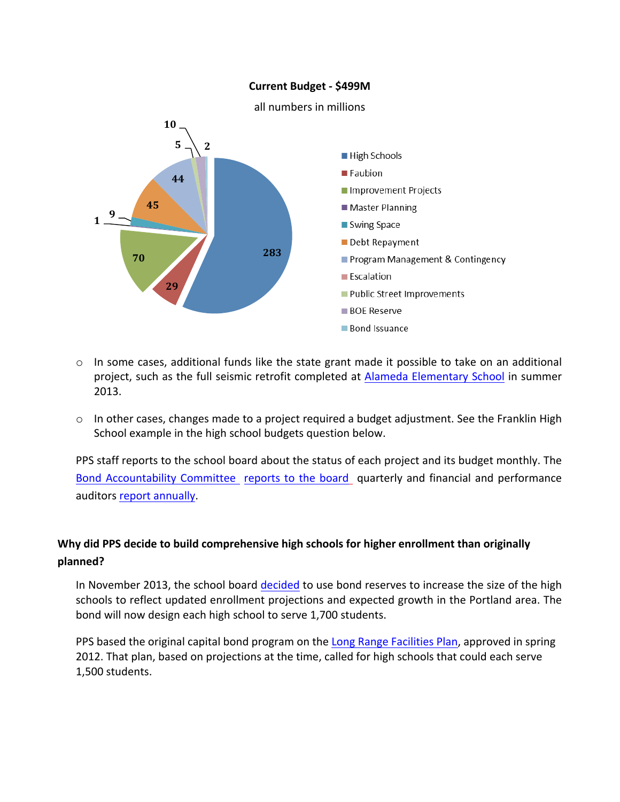#### **Current Budget - \$499M**



- o In some cases, additional funds like the state grant made it possible to take on an additional project, such as the full seismic retrofit completed at Alameda Elementary School in summer 2013.
- $\circ$  In other cases, changes made to a project required a budget adjustment. See the Franklin High School example in the high school budgets question below.

PPS staff reports to the school board about the status of each project and its budget monthly. The Bond Accountability Committee reports to the board quarterly and financial and performance auditors report annually.

# Why did PPS decide to build comprehensive high schools for higher enrollment than originally **planned?**

In November 2013, the school board decided to use bond reserves to increase the size of the high schools to reflect updated enrollment projections and expected growth in the Portland area. The bond will now design each high school to serve 1,700 students.

PPS based the original capital bond program on the Long Range Facilities Plan, approved in spring 2012. That plan, based on projections at the time, called for high schools that could each serve 1,500 students.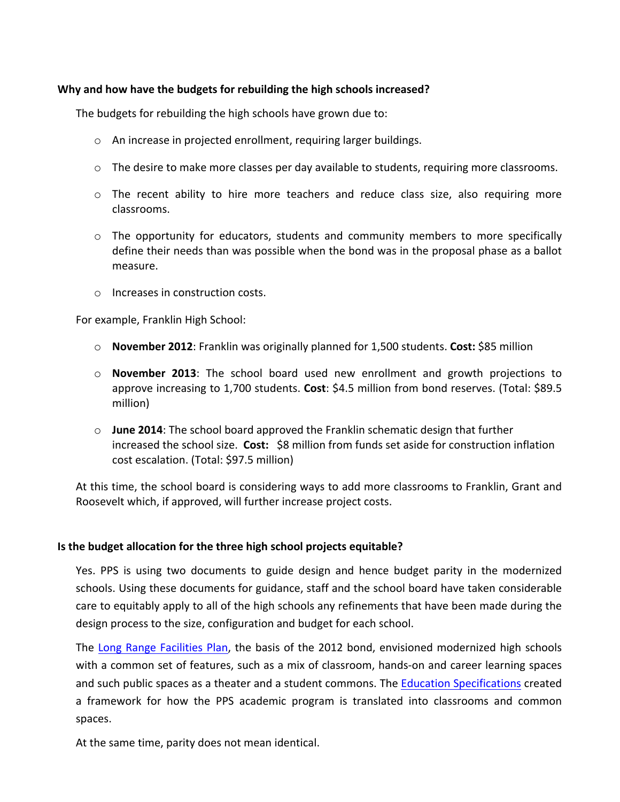#### Why and how have the budgets for rebuilding the high schools increased?

The budgets for rebuilding the high schools have grown due to:

- $\circ$  An increase in projected enrollment, requiring larger buildings.
- $\circ$  The desire to make more classes per day available to students, requiring more classrooms.
- $\circ$  The recent ability to hire more teachers and reduce class size, also requiring more classrooms.
- $\circ$  The opportunity for educators, students and community members to more specifically define their needs than was possible when the bond was in the proposal phase as a ballot measure.
- $\circ$  Increases in construction costs.

For example, Franklin High School:

- $\circ$  **November 2012**: Franklin was originally planned for 1,500 students. Cost: \$85 million
- $\circ$  **November 2013**: The school board used new enrollment and growth projections to approve increasing to 1,700 students. Cost: \$4.5 million from bond reserves. (Total: \$89.5 million)
- $\circ$  **June 2014**: The school board approved the Franklin schematic design that further increased the school size. Cost: \$8 million from funds set aside for construction inflation cost escalation. (Total: \$97.5 million)

At this time, the school board is considering ways to add more classrooms to Franklin, Grant and Roosevelt which, if approved, will further increase project costs.

#### **Is the budget allocation for the three high school projects equitable?**

Yes. PPS is using two documents to guide design and hence budget parity in the modernized schools. Using these documents for guidance, staff and the school board have taken considerable care to equitably apply to all of the high schools any refinements that have been made during the design process to the size, configuration and budget for each school.

The Long Range Facilities Plan, the basis of the 2012 bond, envisioned modernized high schools with a common set of features, such as a mix of classroom, hands-on and career learning spaces and such public spaces as a theater and a student commons. The Education Specifications created a framework for how the PPS academic program is translated into classrooms and common spaces. 

At the same time, parity does not mean identical.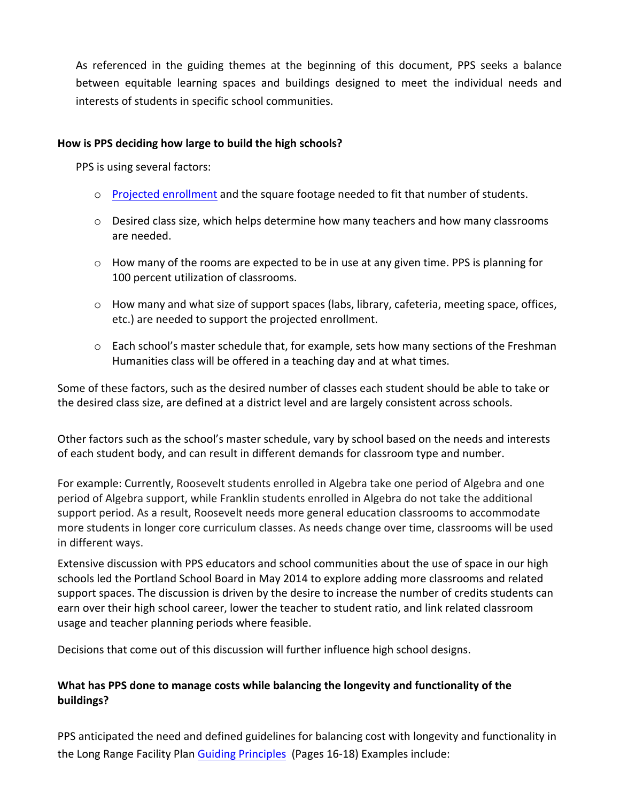As referenced in the guiding themes at the beginning of this document, PPS seeks a balance between equitable learning spaces and buildings designed to meet the individual needs and interests of students in specific school communities.

#### How is PPS deciding how large to build the high schools?

PPS is using several factors:

- $\circ$  Projected enrollment and the square footage needed to fit that number of students.
- $\circ$  Desired class size, which helps determine how many teachers and how many classrooms are needed.
- $\circ$  How many of the rooms are expected to be in use at any given time. PPS is planning for 100 percent utilization of classrooms.
- $\circ$  How many and what size of support spaces (labs, library, cafeteria, meeting space, offices, etc.) are needed to support the projected enrollment.
- $\circ$  Each school's master schedule that, for example, sets how many sections of the Freshman Humanities class will be offered in a teaching day and at what times.

Some of these factors, such as the desired number of classes each student should be able to take or the desired class size, are defined at a district level and are largely consistent across schools.

Other factors such as the school's master schedule, vary by school based on the needs and interests of each student body, and can result in different demands for classroom type and number.

For example: Currently, Roosevelt students enrolled in Algebra take one period of Algebra and one period of Algebra support, while Franklin students enrolled in Algebra do not take the additional support period. As a result, Roosevelt needs more general education classrooms to accommodate more students in longer core curriculum classes. As needs change over time, classrooms will be used in different ways.

Extensive discussion with PPS educators and school communities about the use of space in our high schools led the Portland School Board in May 2014 to explore adding more classrooms and related support spaces. The discussion is driven by the desire to increase the number of credits students can earn over their high school career, lower the teacher to student ratio, and link related classroom usage and teacher planning periods where feasible.

Decisions that come out of this discussion will further influence high school designs.

# What has PPS done to manage costs while balancing the longevity and functionality of the **buildings?**

PPS anticipated the need and defined guidelines for balancing cost with longevity and functionality in the Long Range Facility Plan Guiding Principles (Pages 16-18) Examples include: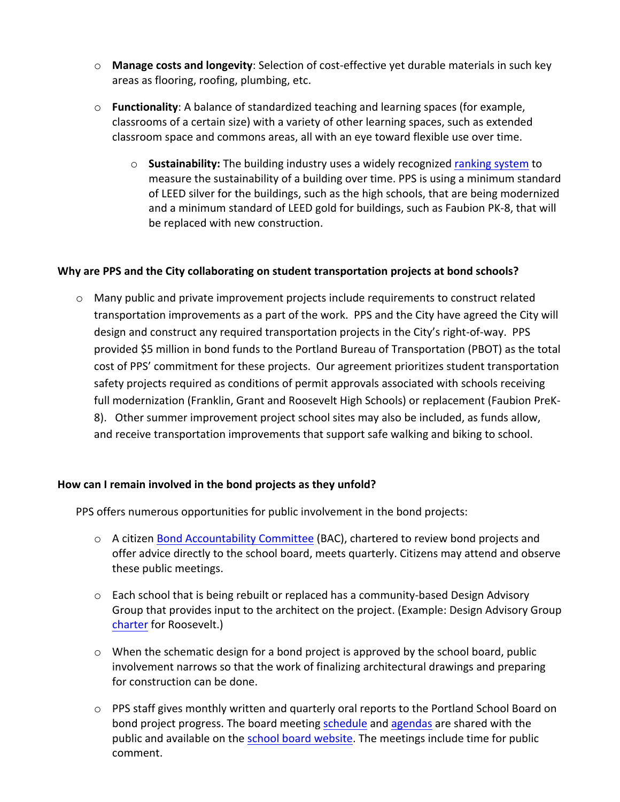- o **Manage costs and longevity**: Selection of cost-effective yet durable materials in such key areas as flooring, roofing, plumbing, etc.
- $\circ$  **Functionality**: A balance of standardized teaching and learning spaces (for example, classrooms of a certain size) with a variety of other learning spaces, such as extended classroom space and commons areas, all with an eye toward flexible use over time.
	- $\circ$  **Sustainability:** The building industry uses a widely recognized ranking system to measure the sustainability of a building over time. PPS is using a minimum standard of LEED silver for the buildings, such as the high schools, that are being modernized and a minimum standard of LEED gold for buildings, such as Faubion PK-8, that will be replaced with new construction.

## **Why are PPS and the City collaborating on student transportation projects at bond schools?**

 $\circ$  Many public and private improvement projects include requirements to construct related transportation improvements as a part of the work. PPS and the City have agreed the City will design and construct any required transportation projects in the City's right-of-way. PPS provided \$5 million in bond funds to the Portland Bureau of Transportation (PBOT) as the total cost of PPS' commitment for these projects. Our agreement prioritizes student transportation safety projects required as conditions of permit approvals associated with schools receiving full modernization (Franklin, Grant and Roosevelt High Schools) or replacement (Faubion PreK-8). Other summer improvement project school sites may also be included, as funds allow, and receive transportation improvements that support safe walking and biking to school.

#### How can I remain involved in the bond projects as they unfold?

PPS offers numerous opportunities for public involvement in the bond projects:

- $\circ$  A citizen Bond Accountability Committee (BAC), chartered to review bond projects and offer advice directly to the school board, meets quarterly. Citizens may attend and observe these public meetings.
- o Each school that is being rebuilt or replaced has a community-based Design Advisory Group that provides input to the architect on the project. (Example: Design Advisory Group charter for Roosevelt.)
- $\circ$  When the schematic design for a bond project is approved by the school board, public involvement narrows so that the work of finalizing architectural drawings and preparing for construction can be done.
- $\circ$  PPS staff gives monthly written and quarterly oral reports to the Portland School Board on bond project progress. The board meeting schedule and agendas are shared with the public and available on the school board website. The meetings include time for public comment.